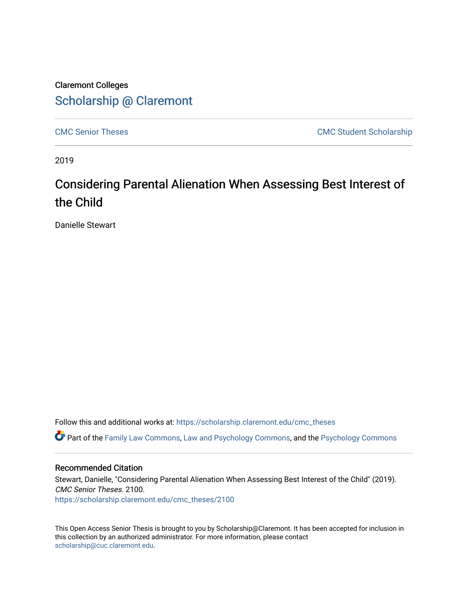## Claremont Colleges [Scholarship @ Claremont](https://scholarship.claremont.edu/)

[CMC Senior Theses](https://scholarship.claremont.edu/cmc_theses) CMC Student Scholarship

2019

# Considering Parental Alienation When Assessing Best Interest of the Child

Danielle Stewart

Follow this and additional works at: [https://scholarship.claremont.edu/cmc\\_theses](https://scholarship.claremont.edu/cmc_theses?utm_source=scholarship.claremont.edu%2Fcmc_theses%2F2100&utm_medium=PDF&utm_campaign=PDFCoverPages) 

Part of the [Family Law Commons,](http://network.bepress.com/hgg/discipline/602?utm_source=scholarship.claremont.edu%2Fcmc_theses%2F2100&utm_medium=PDF&utm_campaign=PDFCoverPages) [Law and Psychology Commons,](http://network.bepress.com/hgg/discipline/870?utm_source=scholarship.claremont.edu%2Fcmc_theses%2F2100&utm_medium=PDF&utm_campaign=PDFCoverPages) and the [Psychology Commons](http://network.bepress.com/hgg/discipline/404?utm_source=scholarship.claremont.edu%2Fcmc_theses%2F2100&utm_medium=PDF&utm_campaign=PDFCoverPages)

#### Recommended Citation

Stewart, Danielle, "Considering Parental Alienation When Assessing Best Interest of the Child" (2019). CMC Senior Theses. 2100. [https://scholarship.claremont.edu/cmc\\_theses/2100](https://scholarship.claremont.edu/cmc_theses/2100?utm_source=scholarship.claremont.edu%2Fcmc_theses%2F2100&utm_medium=PDF&utm_campaign=PDFCoverPages) 

This Open Access Senior Thesis is brought to you by Scholarship@Claremont. It has been accepted for inclusion in this collection by an authorized administrator. For more information, please contact [scholarship@cuc.claremont.edu.](mailto:scholarship@cuc.claremont.edu)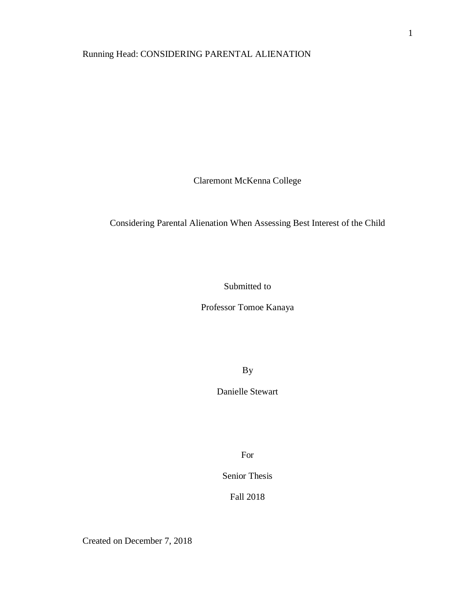## Running Head: CONSIDERING PARENTAL ALIENATION

Claremont McKenna College

### Considering Parental Alienation When Assessing Best Interest of the Child

Submitted to

Professor Tomoe Kanaya

By

Danielle Stewart

For

Senior Thesis

Fall 2018

Created on December 7, 2018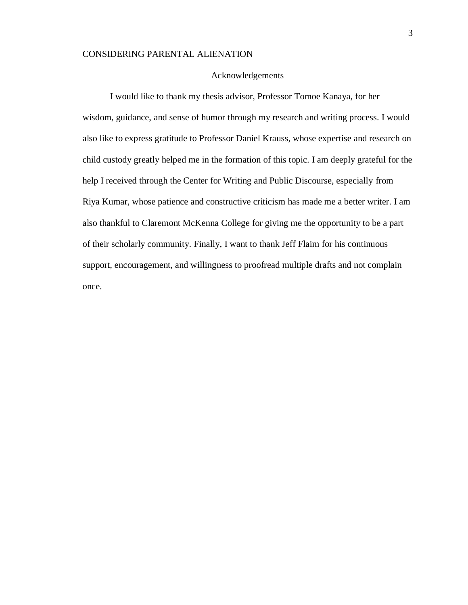#### Acknowledgements

I would like to thank my thesis advisor, Professor Tomoe Kanaya, for her wisdom, guidance, and sense of humor through my research and writing process. I would also like to express gratitude to Professor Daniel Krauss, whose expertise and research on child custody greatly helped me in the formation of this topic. I am deeply grateful for the help I received through the Center for Writing and Public Discourse, especially from Riya Kumar, whose patience and constructive criticism has made me a better writer. I am also thankful to Claremont McKenna College for giving me the opportunity to be a part of their scholarly community. Finally, I want to thank Jeff Flaim for his continuous support, encouragement, and willingness to proofread multiple drafts and not complain once.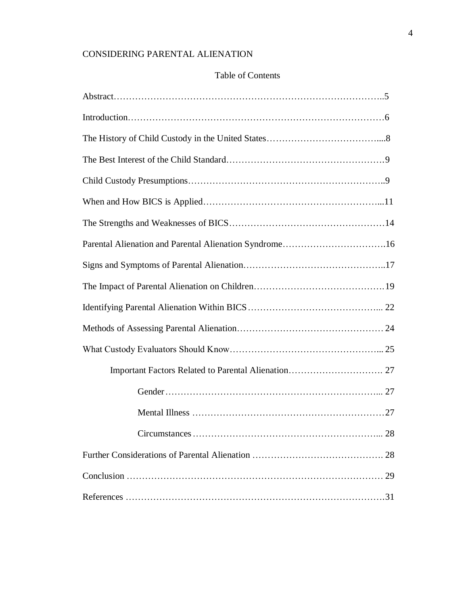## Table of Contents

| Parental Alienation and Parental Alienation Syndrome16 |  |
|--------------------------------------------------------|--|
|                                                        |  |
|                                                        |  |
|                                                        |  |
|                                                        |  |
|                                                        |  |
|                                                        |  |
|                                                        |  |
|                                                        |  |
|                                                        |  |
|                                                        |  |
|                                                        |  |
|                                                        |  |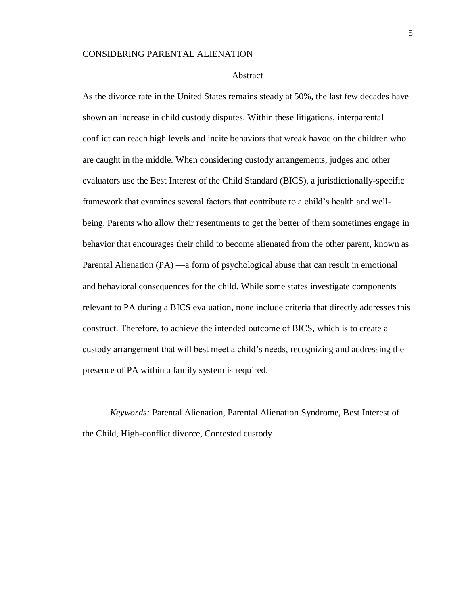#### Abstract

As the divorce rate in the United States remains steady at 50%, the last few decades have shown an increase in child custody disputes. Within these litigations, interparental conflict can reach high levels and incite behaviors that wreak havoc on the children who are caught in the middle. When considering custody arrangements, judges and other evaluators use the Best Interest of the Child Standard (BICS), a jurisdictionally-specific framework that examines several factors that contribute to a child's health and wellbeing. Parents who allow their resentments to get the better of them sometimes engage in behavior that encourages their child to become alienated from the other parent, known as Parental Alienation (PA) —a form of psychological abuse that can result in emotional and behavioral consequences for the child. While some states investigate components relevant to PA during a BICS evaluation, none include criteria that directly addresses this construct. Therefore, to achieve the intended outcome of BICS, which is to create a custody arrangement that will best meet a child's needs, recognizing and addressing the presence of PA within a family system is required.

*Keywords:* Parental Alienation, Parental Alienation Syndrome, Best Interest of the Child, High-conflict divorce, Contested custody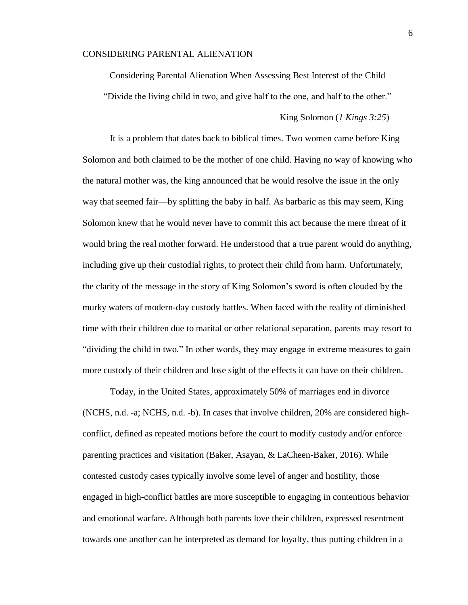Considering Parental Alienation When Assessing Best Interest of the Child "Divide the living child in two, and give half to the one, and half to the other."

—King Solomon (*1 Kings 3:25*)

It is a problem that dates back to biblical times. Two women came before King Solomon and both claimed to be the mother of one child. Having no way of knowing who the natural mother was, the king announced that he would resolve the issue in the only way that seemed fair—by splitting the baby in half. As barbaric as this may seem, King Solomon knew that he would never have to commit this act because the mere threat of it would bring the real mother forward. He understood that a true parent would do anything, including give up their custodial rights, to protect their child from harm. Unfortunately, the clarity of the message in the story of King Solomon's sword is often clouded by the murky waters of modern-day custody battles. When faced with the reality of diminished time with their children due to marital or other relational separation, parents may resort to "dividing the child in two." In other words, they may engage in extreme measures to gain more custody of their children and lose sight of the effects it can have on their children.

Today, in the United States, approximately 50% of marriages end in divorce (NCHS, n.d. -a; NCHS, n.d. -b). In cases that involve children, 20% are considered highconflict, defined as repeated motions before the court to modify custody and/or enforce parenting practices and visitation (Baker, Asayan, & LaCheen-Baker, 2016). While contested custody cases typically involve some level of anger and hostility, those engaged in high-conflict battles are more susceptible to engaging in contentious behavior and emotional warfare. Although both parents love their children, expressed resentment towards one another can be interpreted as demand for loyalty, thus putting children in a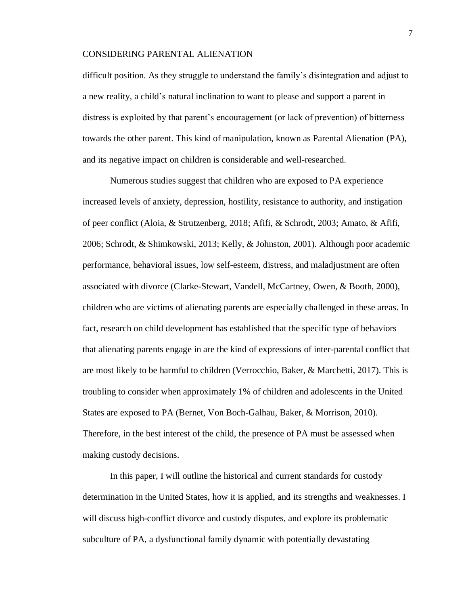difficult position. As they struggle to understand the family's disintegration and adjust to a new reality, a child's natural inclination to want to please and support a parent in distress is exploited by that parent's encouragement (or lack of prevention) of bitterness towards the other parent. This kind of manipulation, known as Parental Alienation (PA), and its negative impact on children is considerable and well-researched.

Numerous studies suggest that children who are exposed to PA experience increased levels of anxiety, depression, hostility, resistance to authority, and instigation of peer conflict (Aloia, & Strutzenberg, 2018; Afifi, & Schrodt, 2003; Amato, & Afifi, 2006; Schrodt, & Shimkowski, 2013; Kelly, & Johnston, 2001). Although poor academic performance, behavioral issues, low self-esteem, distress, and maladjustment are often associated with divorce (Clarke-Stewart, Vandell, McCartney, Owen, & Booth, 2000), children who are victims of alienating parents are especially challenged in these areas. In fact, research on child development has established that the specific type of behaviors that alienating parents engage in are the kind of expressions of inter-parental conflict that are most likely to be harmful to children (Verrocchio, Baker, & Marchetti, 2017). This is troubling to consider when approximately 1% of children and adolescents in the United States are exposed to PA (Bernet, Von Boch-Galhau, Baker, & Morrison, 2010). Therefore, in the best interest of the child, the presence of PA must be assessed when making custody decisions.

In this paper, I will outline the historical and current standards for custody determination in the United States, how it is applied, and its strengths and weaknesses. I will discuss high-conflict divorce and custody disputes, and explore its problematic subculture of PA, a dysfunctional family dynamic with potentially devastating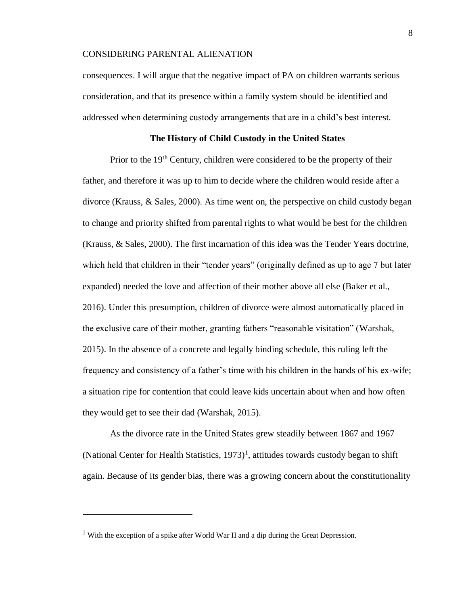consequences. I will argue that the negative impact of PA on children warrants serious consideration, and that its presence within a family system should be identified and addressed when determining custody arrangements that are in a child's best interest.

#### **The History of Child Custody in the United States**

Prior to the 19<sup>th</sup> Century, children were considered to be the property of their father, and therefore it was up to him to decide where the children would reside after a divorce (Krauss, & Sales, 2000). As time went on, the perspective on child custody began to change and priority shifted from parental rights to what would be best for the children (Krauss, & Sales, 2000). The first incarnation of this idea was the Tender Years doctrine, which held that children in their "tender years" (originally defined as up to age 7 but later expanded) needed the love and affection of their mother above all else (Baker et al., 2016). Under this presumption, children of divorce were almost automatically placed in the exclusive care of their mother, granting fathers "reasonable visitation" (Warshak, 2015). In the absence of a concrete and legally binding schedule, this ruling left the frequency and consistency of a father's time with his children in the hands of his ex-wife; a situation ripe for contention that could leave kids uncertain about when and how often they would get to see their dad (Warshak, 2015).

As the divorce rate in the United States grew steadily between 1867 and 1967 (National Center for Health Statistics,  $1973$ )<sup>1</sup>, attitudes towards custody began to shift again. Because of its gender bias, there was a growing concern about the constitutionality

 $\overline{a}$ 

<sup>&</sup>lt;sup>1</sup> With the exception of a spike after World War II and a dip during the Great Depression.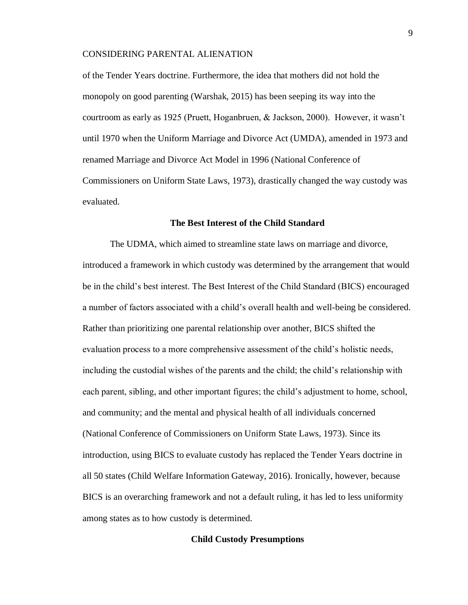of the Tender Years doctrine. Furthermore, the idea that mothers did not hold the monopoly on good parenting (Warshak, 2015) has been seeping its way into the courtroom as early as 1925 (Pruett, Hoganbruen, & Jackson, 2000). However, it wasn't until 1970 when the Uniform Marriage and Divorce Act (UMDA), amended in 1973 and renamed Marriage and Divorce Act Model in 1996 (National Conference of Commissioners on Uniform State Laws, 1973), drastically changed the way custody was evaluated.

#### **The Best Interest of the Child Standard**

The UDMA, which aimed to streamline state laws on marriage and divorce, introduced a framework in which custody was determined by the arrangement that would be in the child's best interest. The Best Interest of the Child Standard (BICS) encouraged a number of factors associated with a child's overall health and well-being be considered. Rather than prioritizing one parental relationship over another, BICS shifted the evaluation process to a more comprehensive assessment of the child's holistic needs, including the custodial wishes of the parents and the child; the child's relationship with each parent, sibling, and other important figures; the child's adjustment to home, school, and community; and the mental and physical health of all individuals concerned (National Conference of Commissioners on Uniform State Laws, 1973). Since its introduction, using BICS to evaluate custody has replaced the Tender Years doctrine in all 50 states (Child Welfare Information Gateway, 2016). Ironically, however, because BICS is an overarching framework and not a default ruling, it has led to less uniformity among states as to how custody is determined.

#### **Child Custody Presumptions**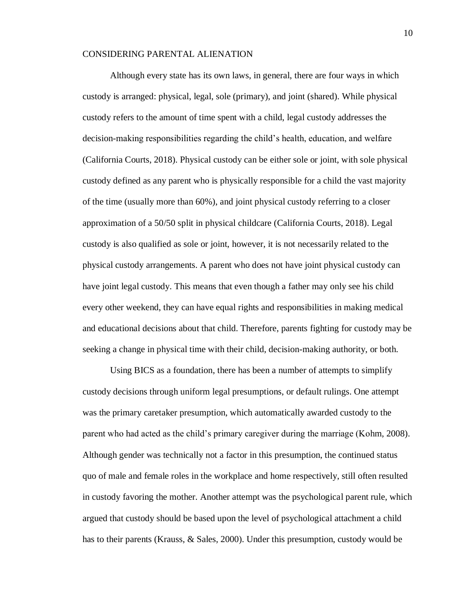Although every state has its own laws, in general, there are four ways in which custody is arranged: physical, legal, sole (primary), and joint (shared). While physical custody refers to the amount of time spent with a child, legal custody addresses the decision-making responsibilities regarding the child's health, education, and welfare (California Courts, 2018). Physical custody can be either sole or joint, with sole physical custody defined as any parent who is physically responsible for a child the vast majority of the time (usually more than 60%), and joint physical custody referring to a closer approximation of a 50/50 split in physical childcare (California Courts, 2018). Legal custody is also qualified as sole or joint, however, it is not necessarily related to the physical custody arrangements. A parent who does not have joint physical custody can have joint legal custody. This means that even though a father may only see his child every other weekend, they can have equal rights and responsibilities in making medical and educational decisions about that child. Therefore, parents fighting for custody may be seeking a change in physical time with their child, decision-making authority, or both.

Using BICS as a foundation, there has been a number of attempts to simplify custody decisions through uniform legal presumptions, or default rulings. One attempt was the primary caretaker presumption, which automatically awarded custody to the parent who had acted as the child's primary caregiver during the marriage (Kohm, 2008). Although gender was technically not a factor in this presumption, the continued status quo of male and female roles in the workplace and home respectively, still often resulted in custody favoring the mother. Another attempt was the psychological parent rule, which argued that custody should be based upon the level of psychological attachment a child has to their parents (Krauss, & Sales, 2000). Under this presumption, custody would be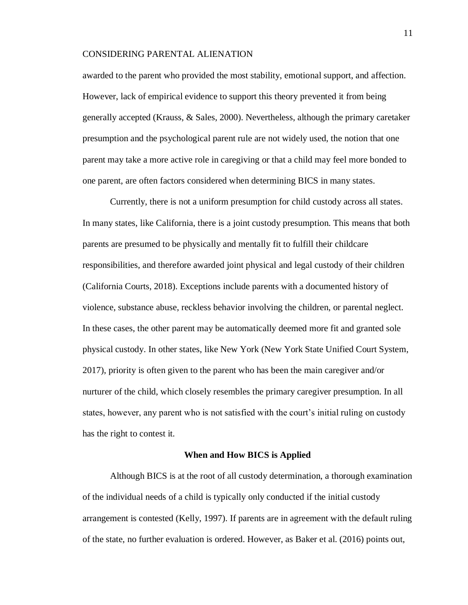awarded to the parent who provided the most stability, emotional support, and affection. However, lack of empirical evidence to support this theory prevented it from being generally accepted (Krauss, & Sales, 2000). Nevertheless, although the primary caretaker presumption and the psychological parent rule are not widely used, the notion that one parent may take a more active role in caregiving or that a child may feel more bonded to one parent, are often factors considered when determining BICS in many states.

Currently, there is not a uniform presumption for child custody across all states. In many states, like California, there is a joint custody presumption. This means that both parents are presumed to be physically and mentally fit to fulfill their childcare responsibilities, and therefore awarded joint physical and legal custody of their children (California Courts, 2018). Exceptions include parents with a documented history of violence, substance abuse, reckless behavior involving the children, or parental neglect. In these cases, the other parent may be automatically deemed more fit and granted sole physical custody. In other states, like New York (New York State Unified Court System, 2017), priority is often given to the parent who has been the main caregiver and/or nurturer of the child, which closely resembles the primary caregiver presumption. In all states, however, any parent who is not satisfied with the court's initial ruling on custody has the right to contest it.

#### **When and How BICS is Applied**

Although BICS is at the root of all custody determination, a thorough examination of the individual needs of a child is typically only conducted if the initial custody arrangement is contested (Kelly, 1997). If parents are in agreement with the default ruling of the state, no further evaluation is ordered. However, as Baker et al. (2016) points out,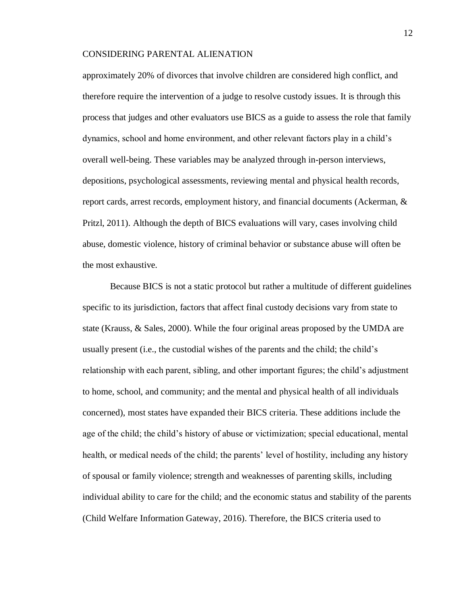approximately 20% of divorces that involve children are considered high conflict, and therefore require the intervention of a judge to resolve custody issues. It is through this process that judges and other evaluators use BICS as a guide to assess the role that family dynamics, school and home environment, and other relevant factors play in a child's overall well-being. These variables may be analyzed through in-person interviews, depositions, psychological assessments, reviewing mental and physical health records, report cards, arrest records, employment history, and financial documents (Ackerman, & Pritzl, 2011). Although the depth of BICS evaluations will vary, cases involving child abuse, domestic violence, history of criminal behavior or substance abuse will often be the most exhaustive.

Because BICS is not a static protocol but rather a multitude of different guidelines specific to its jurisdiction, factors that affect final custody decisions vary from state to state (Krauss, & Sales, 2000). While the four original areas proposed by the UMDA are usually present (i.e., the custodial wishes of the parents and the child; the child's relationship with each parent, sibling, and other important figures; the child's adjustment to home, school, and community; and the mental and physical health of all individuals concerned), most states have expanded their BICS criteria. These additions include the age of the child; the child's history of abuse or victimization; special educational, mental health, or medical needs of the child; the parents' level of hostility, including any history of spousal or family violence; strength and weaknesses of parenting skills, including individual ability to care for the child; and the economic status and stability of the parents (Child Welfare Information Gateway, 2016). Therefore, the BICS criteria used to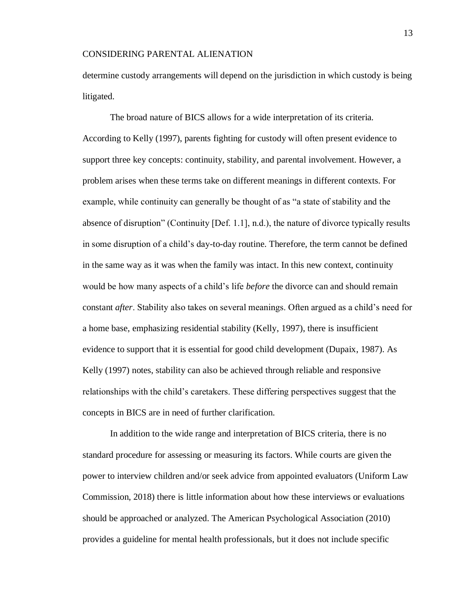determine custody arrangements will depend on the jurisdiction in which custody is being litigated.

The broad nature of BICS allows for a wide interpretation of its criteria. According to Kelly (1997), parents fighting for custody will often present evidence to support three key concepts: continuity, stability, and parental involvement. However, a problem arises when these terms take on different meanings in different contexts. For example, while continuity can generally be thought of as "a state of stability and the absence of disruption" (Continuity [Def. 1.1], n.d.), the nature of divorce typically results in some disruption of a child's day-to-day routine. Therefore, the term cannot be defined in the same way as it was when the family was intact. In this new context, continuity would be how many aspects of a child's life *before* the divorce can and should remain constant *after*. Stability also takes on several meanings. Often argued as a child's need for a home base, emphasizing residential stability (Kelly, 1997), there is insufficient evidence to support that it is essential for good child development (Dupaix, 1987). As Kelly (1997) notes, stability can also be achieved through reliable and responsive relationships with the child's caretakers. These differing perspectives suggest that the concepts in BICS are in need of further clarification.

In addition to the wide range and interpretation of BICS criteria, there is no standard procedure for assessing or measuring its factors. While courts are given the power to interview children and/or seek advice from appointed evaluators (Uniform Law Commission, 2018) there is little information about how these interviews or evaluations should be approached or analyzed. The American Psychological Association (2010) provides a guideline for mental health professionals, but it does not include specific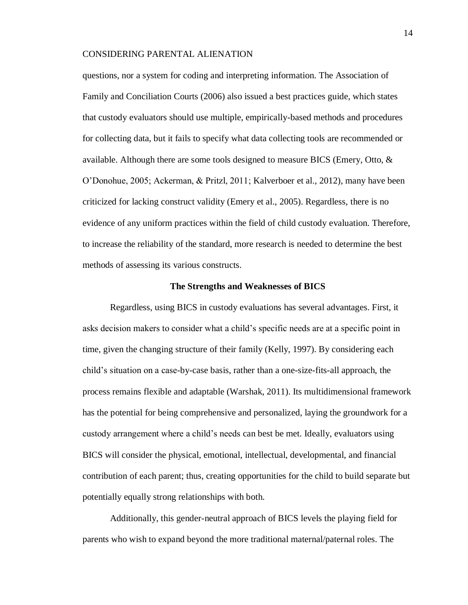questions, nor a system for coding and interpreting information. The Association of Family and Conciliation Courts (2006) also issued a best practices guide, which states that custody evaluators should use multiple, empirically-based methods and procedures for collecting data, but it fails to specify what data collecting tools are recommended or available. Although there are some tools designed to measure BICS (Emery, Otto, & O'Donohue, 2005; Ackerman, & Pritzl, 2011; Kalverboer et al., 2012), many have been criticized for lacking construct validity (Emery et al., 2005). Regardless, there is no evidence of any uniform practices within the field of child custody evaluation. Therefore, to increase the reliability of the standard, more research is needed to determine the best methods of assessing its various constructs.

#### **The Strengths and Weaknesses of BICS**

Regardless, using BICS in custody evaluations has several advantages. First, it asks decision makers to consider what a child's specific needs are at a specific point in time, given the changing structure of their family (Kelly, 1997). By considering each child's situation on a case-by-case basis, rather than a one-size-fits-all approach, the process remains flexible and adaptable (Warshak, 2011). Its multidimensional framework has the potential for being comprehensive and personalized, laying the groundwork for a custody arrangement where a child's needs can best be met. Ideally, evaluators using BICS will consider the physical, emotional, intellectual, developmental, and financial contribution of each parent; thus, creating opportunities for the child to build separate but potentially equally strong relationships with both.

Additionally, this gender-neutral approach of BICS levels the playing field for parents who wish to expand beyond the more traditional maternal/paternal roles. The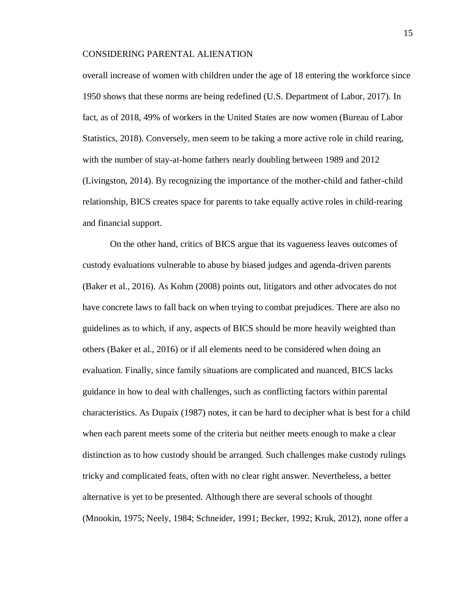overall increase of women with children under the age of 18 entering the workforce since 1950 shows that these norms are being redefined (U.S. Department of Labor, 2017). In fact, as of 2018, 49% of workers in the United States are now women (Bureau of Labor Statistics, 2018). Conversely, men seem to be taking a more active role in child rearing, with the number of stay-at-home fathers nearly doubling between 1989 and 2012 (Livingston, 2014). By recognizing the importance of the mother-child and father-child relationship, BICS creates space for parents to take equally active roles in child-rearing and financial support.

On the other hand, critics of BICS argue that its vagueness leaves outcomes of custody evaluations vulnerable to abuse by biased judges and agenda-driven parents (Baker et al., 2016). As Kohm (2008) points out, litigators and other advocates do not have concrete laws to fall back on when trying to combat prejudices. There are also no guidelines as to which, if any, aspects of BICS should be more heavily weighted than others (Baker et al., 2016) or if all elements need to be considered when doing an evaluation. Finally, since family situations are complicated and nuanced, BICS lacks guidance in how to deal with challenges, such as conflicting factors within parental characteristics. As Dupaix (1987) notes, it can be hard to decipher what is best for a child when each parent meets some of the criteria but neither meets enough to make a clear distinction as to how custody should be arranged. Such challenges make custody rulings tricky and complicated feats, often with no clear right answer. Nevertheless, a better alternative is yet to be presented. Although there are several schools of thought (Mnookin, 1975; Neely, 1984; Schneider, 1991; Becker, 1992; Kruk, 2012), none offer a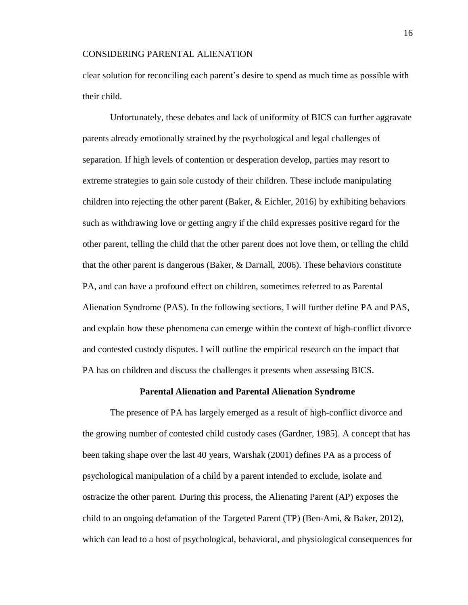clear solution for reconciling each parent's desire to spend as much time as possible with their child.

Unfortunately, these debates and lack of uniformity of BICS can further aggravate parents already emotionally strained by the psychological and legal challenges of separation. If high levels of contention or desperation develop, parties may resort to extreme strategies to gain sole custody of their children. These include manipulating children into rejecting the other parent (Baker, & Eichler, 2016) by exhibiting behaviors such as withdrawing love or getting angry if the child expresses positive regard for the other parent, telling the child that the other parent does not love them, or telling the child that the other parent is dangerous (Baker, & Darnall, 2006). These behaviors constitute PA, and can have a profound effect on children, sometimes referred to as Parental Alienation Syndrome (PAS). In the following sections, I will further define PA and PAS, and explain how these phenomena can emerge within the context of high-conflict divorce and contested custody disputes. I will outline the empirical research on the impact that PA has on children and discuss the challenges it presents when assessing BICS.

#### **Parental Alienation and Parental Alienation Syndrome**

The presence of PA has largely emerged as a result of high-conflict divorce and the growing number of contested child custody cases (Gardner, 1985). A concept that has been taking shape over the last 40 years, Warshak (2001) defines PA as a process of psychological manipulation of a child by a parent intended to exclude, isolate and ostracize the other parent. During this process, the Alienating Parent (AP) exposes the child to an ongoing defamation of the Targeted Parent (TP) (Ben-Ami, & Baker, 2012), which can lead to a host of psychological, behavioral, and physiological consequences for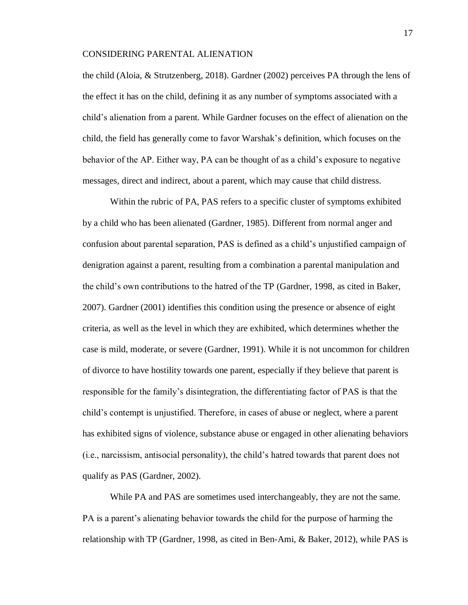the child (Aloia, & Strutzenberg, 2018). Gardner (2002) perceives PA through the lens of the effect it has on the child, defining it as any number of symptoms associated with a child's alienation from a parent. While Gardner focuses on the effect of alienation on the child, the field has generally come to favor Warshak's definition, which focuses on the behavior of the AP. Either way, PA can be thought of as a child's exposure to negative messages, direct and indirect, about a parent, which may cause that child distress.

Within the rubric of PA, PAS refers to a specific cluster of symptoms exhibited by a child who has been alienated (Gardner, 1985). Different from normal anger and confusion about parental separation, PAS is defined as a child's unjustified campaign of denigration against a parent, resulting from a combination a parental manipulation and the child's own contributions to the hatred of the TP (Gardner, 1998, as cited in Baker, 2007). Gardner (2001) identifies this condition using the presence or absence of eight criteria, as well as the level in which they are exhibited, which determines whether the case is mild, moderate, or severe (Gardner, 1991). While it is not uncommon for children of divorce to have hostility towards one parent, especially if they believe that parent is responsible for the family's disintegration, the differentiating factor of PAS is that the child's contempt is unjustified. Therefore, in cases of abuse or neglect, where a parent has exhibited signs of violence, substance abuse or engaged in other alienating behaviors (i.e., narcissism, antisocial personality), the child's hatred towards that parent does not qualify as PAS (Gardner, 2002).

While PA and PAS are sometimes used interchangeably, they are not the same. PA is a parent's alienating behavior towards the child for the purpose of harming the relationship with TP (Gardner, 1998, as cited in Ben-Ami, & Baker, 2012), while PAS is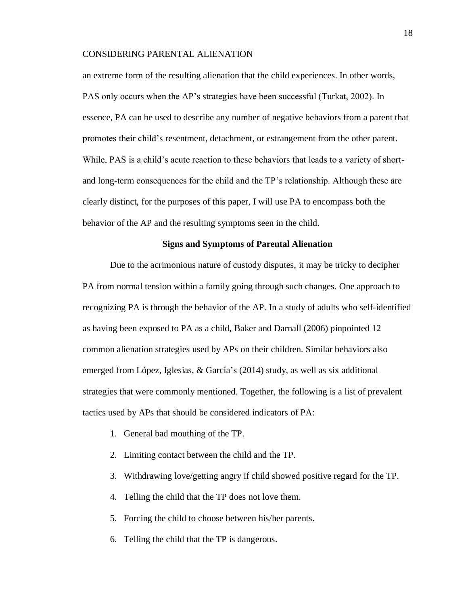an extreme form of the resulting alienation that the child experiences. In other words, PAS only occurs when the AP's strategies have been successful (Turkat, 2002). In essence, PA can be used to describe any number of negative behaviors from a parent that promotes their child's resentment, detachment, or estrangement from the other parent. While, PAS is a child's acute reaction to these behaviors that leads to a variety of shortand long-term consequences for the child and the TP's relationship. Although these are clearly distinct, for the purposes of this paper, I will use PA to encompass both the behavior of the AP and the resulting symptoms seen in the child.

#### **Signs and Symptoms of Parental Alienation**

Due to the acrimonious nature of custody disputes, it may be tricky to decipher PA from normal tension within a family going through such changes. One approach to recognizing PA is through the behavior of the AP. In a study of adults who self-identified as having been exposed to PA as a child, Baker and Darnall (2006) pinpointed 12 common alienation strategies used by APs on their children. Similar behaviors also emerged from López, Iglesias, & García's (2014) study, as well as six additional strategies that were commonly mentioned. Together, the following is a list of prevalent tactics used by APs that should be considered indicators of PA:

- 1. General bad mouthing of the TP.
- 2. Limiting contact between the child and the TP.
- 3. Withdrawing love/getting angry if child showed positive regard for the TP.
- 4. Telling the child that the TP does not love them.
- 5. Forcing the child to choose between his/her parents.
- 6. Telling the child that the TP is dangerous.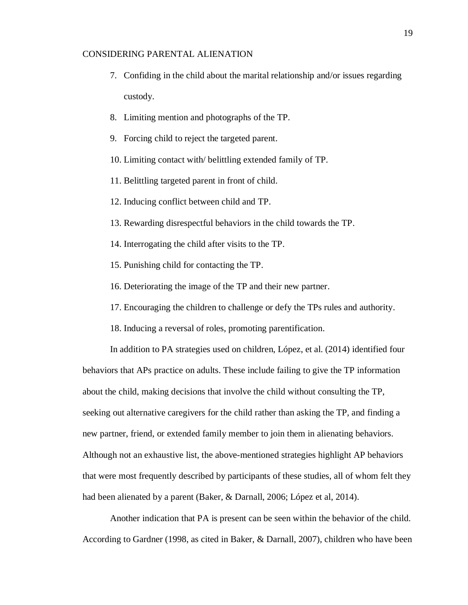- 7. Confiding in the child about the marital relationship and/or issues regarding custody.
- 8. Limiting mention and photographs of the TP.
- 9. Forcing child to reject the targeted parent.
- 10. Limiting contact with/ belittling extended family of TP.
- 11. Belittling targeted parent in front of child.
- 12. Inducing conflict between child and TP.
- 13. Rewarding disrespectful behaviors in the child towards the TP.
- 14. Interrogating the child after visits to the TP.
- 15. Punishing child for contacting the TP.
- 16. Deteriorating the image of the TP and their new partner.
- 17. Encouraging the children to challenge or defy the TPs rules and authority.
- 18. Inducing a reversal of roles, promoting parentification.

In addition to PA strategies used on children, López, et al. (2014) identified four

behaviors that APs practice on adults. These include failing to give the TP information about the child, making decisions that involve the child without consulting the TP, seeking out alternative caregivers for the child rather than asking the TP, and finding a new partner, friend, or extended family member to join them in alienating behaviors. Although not an exhaustive list, the above-mentioned strategies highlight AP behaviors that were most frequently described by participants of these studies, all of whom felt they had been alienated by a parent (Baker, & Darnall, 2006; López et al, 2014).

Another indication that PA is present can be seen within the behavior of the child. According to Gardner (1998, as cited in Baker, & Darnall, 2007), children who have been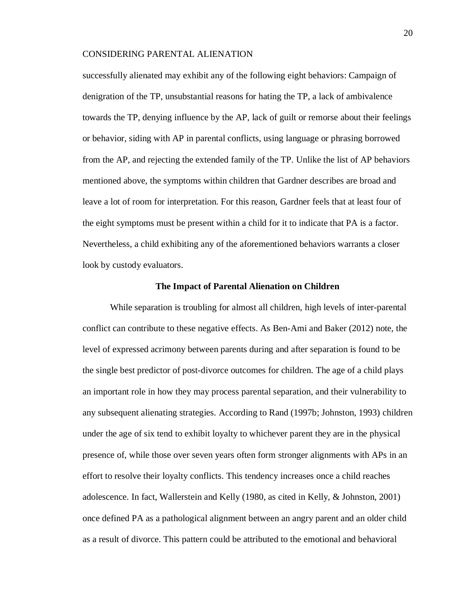successfully alienated may exhibit any of the following eight behaviors: Campaign of denigration of the TP, unsubstantial reasons for hating the TP, a lack of ambivalence towards the TP, denying influence by the AP, lack of guilt or remorse about their feelings or behavior, siding with AP in parental conflicts, using language or phrasing borrowed from the AP, and rejecting the extended family of the TP. Unlike the list of AP behaviors mentioned above, the symptoms within children that Gardner describes are broad and leave a lot of room for interpretation. For this reason, Gardner feels that at least four of the eight symptoms must be present within a child for it to indicate that PA is a factor. Nevertheless, a child exhibiting any of the aforementioned behaviors warrants a closer look by custody evaluators.

#### **The Impact of Parental Alienation on Children**

While separation is troubling for almost all children, high levels of inter-parental conflict can contribute to these negative effects. As Ben-Ami and Baker (2012) note, the level of expressed acrimony between parents during and after separation is found to be the single best predictor of post-divorce outcomes for children. The age of a child plays an important role in how they may process parental separation, and their vulnerability to any subsequent alienating strategies. According to Rand (1997b; Johnston, 1993) children under the age of six tend to exhibit loyalty to whichever parent they are in the physical presence of, while those over seven years often form stronger alignments with APs in an effort to resolve their loyalty conflicts. This tendency increases once a child reaches adolescence. In fact, Wallerstein and Kelly (1980, as cited in Kelly, & Johnston, 2001) once defined PA as a pathological alignment between an angry parent and an older child as a result of divorce. This pattern could be attributed to the emotional and behavioral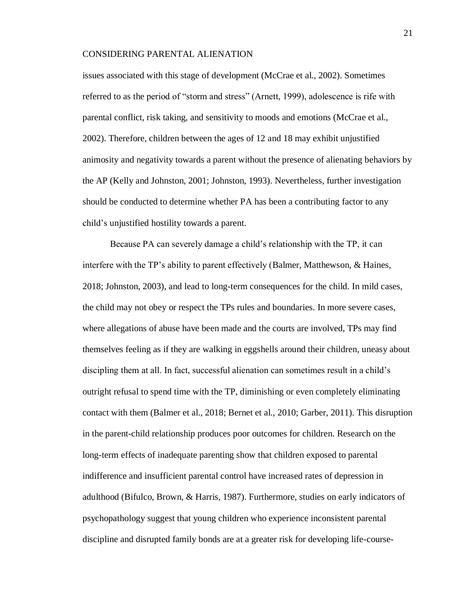issues associated with this stage of development (McCrae et al., 2002). Sometimes referred to as the period of "storm and stress" (Arnett, 1999), adolescence is rife with parental conflict, risk taking, and sensitivity to moods and emotions (McCrae et al., 2002). Therefore, children between the ages of 12 and 18 may exhibit unjustified animosity and negativity towards a parent without the presence of alienating behaviors by the AP (Kelly and Johnston, 2001; Johnston, 1993). Nevertheless, further investigation should be conducted to determine whether PA has been a contributing factor to any child's unjustified hostility towards a parent.

Because PA can severely damage a child's relationship with the TP, it can interfere with the TP's ability to parent effectively (Balmer, Matthewson, & Haines, 2018; Johnston, 2003), and lead to long-term consequences for the child. In mild cases, the child may not obey or respect the TPs rules and boundaries. In more severe cases, where allegations of abuse have been made and the courts are involved, TPs may find themselves feeling as if they are walking in eggshells around their children, uneasy about discipling them at all. In fact, successful alienation can sometimes result in a child's outright refusal to spend time with the TP, diminishing or even completely eliminating contact with them (Balmer et al., 2018; Bernet et al., 2010; Garber, 2011). This disruption in the parent-child relationship produces poor outcomes for children. Research on the long-term effects of inadequate parenting show that children exposed to parental indifference and insufficient parental control have increased rates of depression in adulthood (Bifulco, Brown, & Harris, 1987). Furthermore, studies on early indicators of psychopathology suggest that young children who experience inconsistent parental discipline and disrupted family bonds are at a greater risk for developing life-course-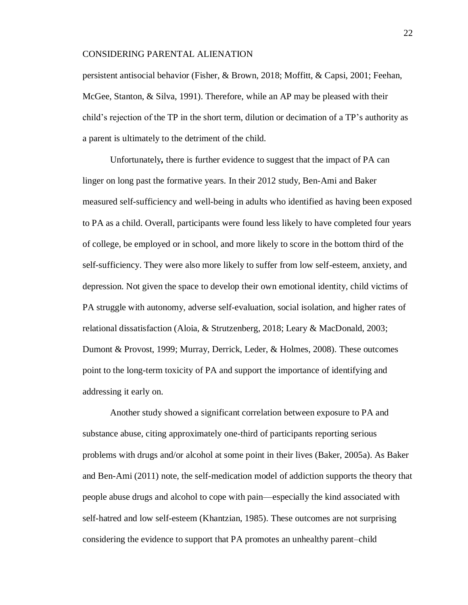persistent antisocial behavior (Fisher, & Brown, 2018; Moffitt, & Capsi, 2001; Feehan, McGee, Stanton, & Silva, 1991). Therefore, while an AP may be pleased with their child's rejection of the TP in the short term, dilution or decimation of a TP's authority as a parent is ultimately to the detriment of the child.

Unfortunately*,* there is further evidence to suggest that the impact of PA can linger on long past the formative years. In their 2012 study, Ben-Ami and Baker measured self-sufficiency and well-being in adults who identified as having been exposed to PA as a child. Overall, participants were found less likely to have completed four years of college, be employed or in school, and more likely to score in the bottom third of the self-sufficiency. They were also more likely to suffer from low self-esteem, anxiety, and depression. Not given the space to develop their own emotional identity, child victims of PA struggle with autonomy, adverse self-evaluation, social isolation, and higher rates of relational dissatisfaction (Aloia, & Strutzenberg, 2018; Leary & MacDonald, 2003; Dumont & Provost, 1999; Murray, Derrick, Leder, & Holmes, 2008). These outcomes point to the long-term toxicity of PA and support the importance of identifying and addressing it early on.

Another study showed a significant correlation between exposure to PA and substance abuse, citing approximately one-third of participants reporting serious problems with drugs and/or alcohol at some point in their lives (Baker, 2005a). As Baker and Ben-Ami (2011) note, the self-medication model of addiction supports the theory that people abuse drugs and alcohol to cope with pain—especially the kind associated with self-hatred and low self-esteem (Khantzian, 1985). These outcomes are not surprising considering the evidence to support that PA promotes an unhealthy parent–child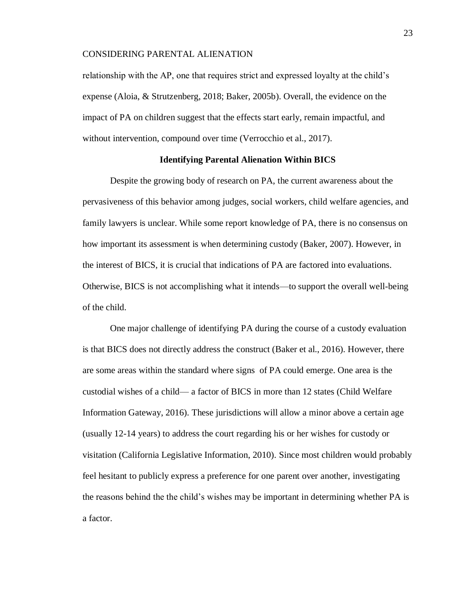relationship with the AP, one that requires strict and expressed loyalty at the child's expense (Aloia, & Strutzenberg, 2018; Baker, 2005b). Overall, the evidence on the impact of PA on children suggest that the effects start early, remain impactful, and without intervention, compound over time (Verrocchio et al., 2017).

#### **Identifying Parental Alienation Within BICS**

Despite the growing body of research on PA, the current awareness about the pervasiveness of this behavior among judges, social workers, child welfare agencies, and family lawyers is unclear. While some report knowledge of PA, there is no consensus on how important its assessment is when determining custody (Baker, 2007). However, in the interest of BICS, it is crucial that indications of PA are factored into evaluations. Otherwise, BICS is not accomplishing what it intends—to support the overall well-being of the child.

One major challenge of identifying PA during the course of a custody evaluation is that BICS does not directly address the construct (Baker et al., 2016). However, there are some areas within the standard where signs of PA could emerge. One area is the custodial wishes of a child— a factor of BICS in more than 12 states (Child Welfare Information Gateway, 2016). These jurisdictions will allow a minor above a certain age (usually 12-14 years) to address the court regarding his or her wishes for custody or visitation (California Legislative Information, 2010). Since most children would probably feel hesitant to publicly express a preference for one parent over another, investigating the reasons behind the the child's wishes may be important in determining whether PA is a factor.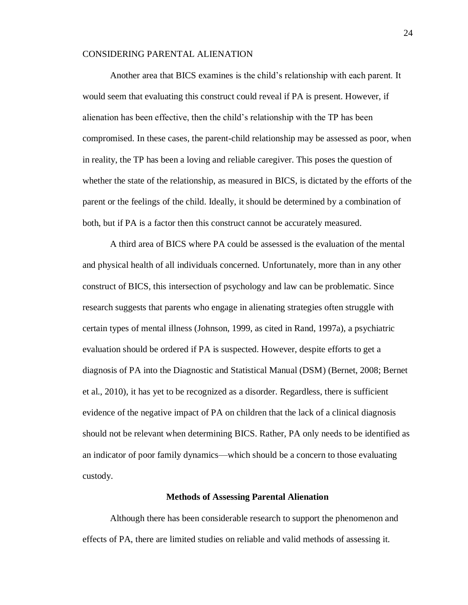Another area that BICS examines is the child's relationship with each parent. It would seem that evaluating this construct could reveal if PA is present. However, if alienation has been effective, then the child's relationship with the TP has been compromised. In these cases, the parent-child relationship may be assessed as poor, when in reality, the TP has been a loving and reliable caregiver. This poses the question of whether the state of the relationship, as measured in BICS, is dictated by the efforts of the parent or the feelings of the child. Ideally, it should be determined by a combination of both, but if PA is a factor then this construct cannot be accurately measured.

A third area of BICS where PA could be assessed is the evaluation of the mental and physical health of all individuals concerned*.* Unfortunately, more than in any other construct of BICS, this intersection of psychology and law can be problematic. Since research suggests that parents who engage in alienating strategies often struggle with certain types of mental illness (Johnson, 1999, as cited in Rand, 1997a), a psychiatric evaluation should be ordered if PA is suspected. However, despite efforts to get a diagnosis of PA into the Diagnostic and Statistical Manual (DSM) (Bernet, 2008; Bernet et al., 2010), it has yet to be recognized as a disorder. Regardless, there is sufficient evidence of the negative impact of PA on children that the lack of a clinical diagnosis should not be relevant when determining BICS. Rather, PA only needs to be identified as an indicator of poor family dynamics—which should be a concern to those evaluating custody.

#### **Methods of Assessing Parental Alienation**

Although there has been considerable research to support the phenomenon and effects of PA, there are limited studies on reliable and valid methods of assessing it.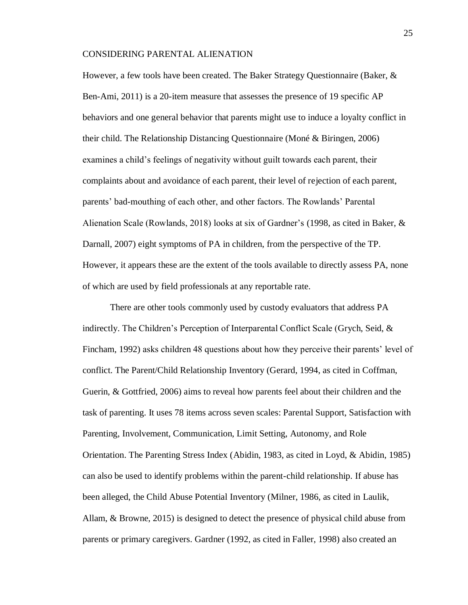However, a few tools have been created. The Baker Strategy Questionnaire (Baker, & Ben-Ami, 2011) is a 20-item measure that assesses the presence of 19 specific AP behaviors and one general behavior that parents might use to induce a loyalty conflict in their child. The Relationship Distancing Questionnaire (Moné & Biringen, 2006) examines a child's feelings of negativity without guilt towards each parent, their complaints about and avoidance of each parent, their level of rejection of each parent, parents' bad-mouthing of each other, and other factors. The Rowlands' Parental Alienation Scale (Rowlands, 2018) looks at six of Gardner's (1998, as cited in Baker, & Darnall, 2007) eight symptoms of PA in children, from the perspective of the TP. However, it appears these are the extent of the tools available to directly assess PA, none of which are used by field professionals at any reportable rate.

There are other tools commonly used by custody evaluators that address PA indirectly. The Children's Perception of Interparental Conflict Scale (Grych, Seid, & Fincham, 1992) asks children 48 questions about how they perceive their parents' level of conflict. The Parent/Child Relationship Inventory (Gerard, 1994, as cited in Coffman, Guerin, & Gottfried, 2006) aims to reveal how parents feel about their children and the task of parenting. It uses 78 items across seven scales: Parental Support, Satisfaction with Parenting, Involvement, Communication, Limit Setting, Autonomy, and Role Orientation. The Parenting Stress Index (Abidin, 1983, as cited in Loyd, & Abidin, 1985) can also be used to identify problems within the parent-child relationship. If abuse has been alleged, the Child Abuse Potential Inventory (Milner, 1986, as cited in Laulik, Allam, & Browne, 2015) is designed to detect the presence of physical child abuse from parents or primary caregivers. Gardner (1992, as cited in Faller, 1998) also created an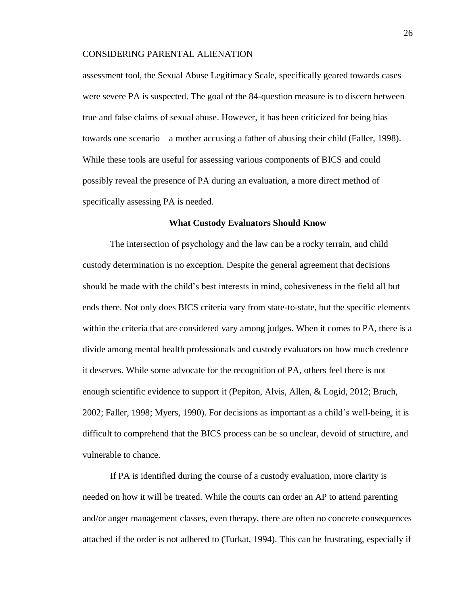assessment tool, the Sexual Abuse Legitimacy Scale, specifically geared towards cases were severe PA is suspected. The goal of the 84-question measure is to discern between true and false claims of sexual abuse. However, it has been criticized for being bias towards one scenario—a mother accusing a father of abusing their child (Faller, 1998). While these tools are useful for assessing various components of BICS and could possibly reveal the presence of PA during an evaluation, a more direct method of specifically assessing PA is needed.

#### **What Custody Evaluators Should Know**

The intersection of psychology and the law can be a rocky terrain, and child custody determination is no exception. Despite the general agreement that decisions should be made with the child's best interests in mind, cohesiveness in the field all but ends there. Not only does BICS criteria vary from state-to-state, but the specific elements within the criteria that are considered vary among judges. When it comes to PA, there is a divide among mental health professionals and custody evaluators on how much credence it deserves. While some advocate for the recognition of PA, others feel there is not enough scientific evidence to support it (Pepiton, Alvis, Allen, & Logid, 2012; Bruch, 2002; Faller, 1998; Myers, 1990). For decisions as important as a child's well-being, it is difficult to comprehend that the BICS process can be so unclear, devoid of structure, and vulnerable to chance.

If PA is identified during the course of a custody evaluation, more clarity is needed on how it will be treated. While the courts can order an AP to attend parenting and/or anger management classes, even therapy, there are often no concrete consequences attached if the order is not adhered to (Turkat, 1994). This can be frustrating, especially if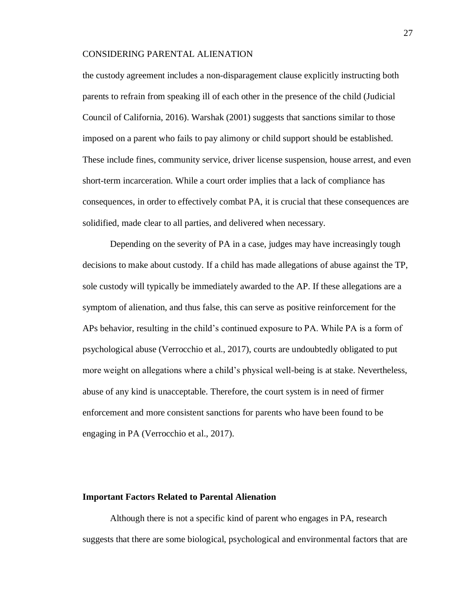the custody agreement includes a non-disparagement clause explicitly instructing both parents to refrain from speaking ill of each other in the presence of the child (Judicial Council of California, 2016). Warshak (2001) suggests that sanctions similar to those imposed on a parent who fails to pay alimony or child support should be established. These include fines, community service, driver license suspension, house arrest, and even short-term incarceration. While a court order implies that a lack of compliance has consequences, in order to effectively combat PA, it is crucial that these consequences are solidified, made clear to all parties, and delivered when necessary.

Depending on the severity of PA in a case, judges may have increasingly tough decisions to make about custody. If a child has made allegations of abuse against the TP, sole custody will typically be immediately awarded to the AP. If these allegations are a symptom of alienation, and thus false, this can serve as positive reinforcement for the APs behavior, resulting in the child's continued exposure to PA. While PA is a form of psychological abuse (Verrocchio et al., 2017), courts are undoubtedly obligated to put more weight on allegations where a child's physical well-being is at stake. Nevertheless, abuse of any kind is unacceptable. Therefore, the court system is in need of firmer enforcement and more consistent sanctions for parents who have been found to be engaging in PA (Verrocchio et al., 2017).

#### **Important Factors Related to Parental Alienation**

Although there is not a specific kind of parent who engages in PA, research suggests that there are some biological, psychological and environmental factors that are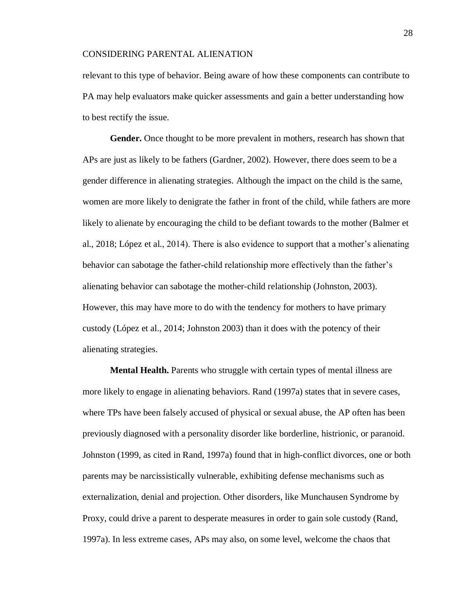relevant to this type of behavior. Being aware of how these components can contribute to PA may help evaluators make quicker assessments and gain a better understanding how to best rectify the issue.

**Gender.** Once thought to be more prevalent in mothers, research has shown that APs are just as likely to be fathers (Gardner, 2002). However, there does seem to be a gender difference in alienating strategies. Although the impact on the child is the same, women are more likely to denigrate the father in front of the child, while fathers are more likely to alienate by encouraging the child to be defiant towards to the mother (Balmer et al., 2018; López et al., 2014). There is also evidence to support that a mother's alienating behavior can sabotage the father-child relationship more effectively than the father's alienating behavior can sabotage the mother-child relationship (Johnston, 2003). However, this may have more to do with the tendency for mothers to have primary custody (López et al., 2014; Johnston 2003) than it does with the potency of their alienating strategies.

**Mental Health.** Parents who struggle with certain types of mental illness are more likely to engage in alienating behaviors. Rand (1997a) states that in severe cases, where TPs have been falsely accused of physical or sexual abuse, the AP often has been previously diagnosed with a personality disorder like borderline, histrionic, or paranoid. Johnston (1999, as cited in Rand, 1997a) found that in high-conflict divorces, one or both parents may be narcissistically vulnerable, exhibiting defense mechanisms such as externalization, denial and projection. Other disorders, like Munchausen Syndrome by Proxy, could drive a parent to desperate measures in order to gain sole custody (Rand, 1997a). In less extreme cases, APs may also, on some level, welcome the chaos that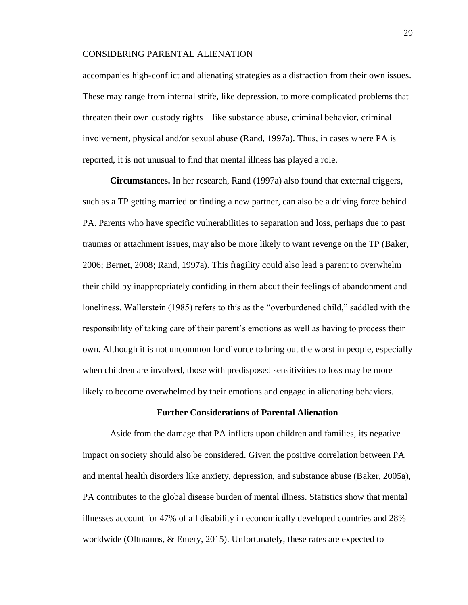accompanies high-conflict and alienating strategies as a distraction from their own issues. These may range from internal strife, like depression, to more complicated problems that threaten their own custody rights—like substance abuse, criminal behavior, criminal involvement, physical and/or sexual abuse (Rand, 1997a). Thus, in cases where PA is reported, it is not unusual to find that mental illness has played a role.

**Circumstances.** In her research, Rand (1997a) also found that external triggers, such as a TP getting married or finding a new partner, can also be a driving force behind PA. Parents who have specific vulnerabilities to separation and loss, perhaps due to past traumas or attachment issues, may also be more likely to want revenge on the TP (Baker, 2006; Bernet, 2008; Rand, 1997a). This fragility could also lead a parent to overwhelm their child by inappropriately confiding in them about their feelings of abandonment and loneliness. Wallerstein (1985) refers to this as the "overburdened child," saddled with the responsibility of taking care of their parent's emotions as well as having to process their own. Although it is not uncommon for divorce to bring out the worst in people, especially when children are involved, those with predisposed sensitivities to loss may be more likely to become overwhelmed by their emotions and engage in alienating behaviors.

#### **Further Considerations of Parental Alienation**

Aside from the damage that PA inflicts upon children and families, its negative impact on society should also be considered. Given the positive correlation between PA and mental health disorders like anxiety, depression, and substance abuse (Baker, 2005a), PA contributes to the global disease burden of mental illness. Statistics show that mental illnesses account for 47% of all disability in economically developed countries and 28% worldwide (Oltmanns, & Emery, 2015). Unfortunately, these rates are expected to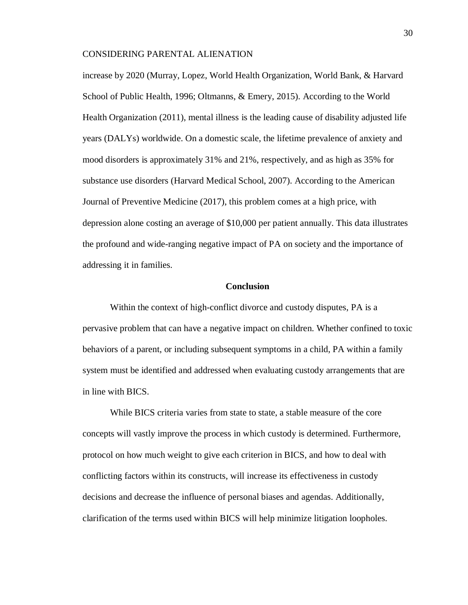increase by 2020 (Murray, Lopez, World Health Organization, World Bank, & Harvard School of Public Health, 1996; Oltmanns, & Emery, 2015). According to the World Health Organization (2011), mental illness is the leading cause of disability adjusted life years (DALYs) worldwide. On a domestic scale, the lifetime prevalence of anxiety and mood disorders is approximately 31% and 21%, respectively, and as high as 35% for substance use disorders (Harvard Medical School, 2007). According to the American Journal of Preventive Medicine (2017), this problem comes at a high price, with depression alone costing an average of \$10,000 per patient annually. This data illustrates the profound and wide-ranging negative impact of PA on society and the importance of addressing it in families.

#### **Conclusion**

Within the context of high-conflict divorce and custody disputes, PA is a pervasive problem that can have a negative impact on children. Whether confined to toxic behaviors of a parent, or including subsequent symptoms in a child, PA within a family system must be identified and addressed when evaluating custody arrangements that are in line with BICS.

While BICS criteria varies from state to state, a stable measure of the core concepts will vastly improve the process in which custody is determined. Furthermore, protocol on how much weight to give each criterion in BICS, and how to deal with conflicting factors within its constructs, will increase its effectiveness in custody decisions and decrease the influence of personal biases and agendas. Additionally, clarification of the terms used within BICS will help minimize litigation loopholes.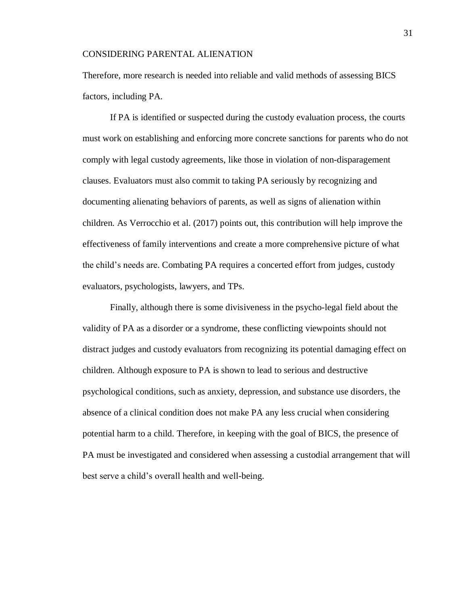Therefore, more research is needed into reliable and valid methods of assessing BICS factors, including PA.

If PA is identified or suspected during the custody evaluation process, the courts must work on establishing and enforcing more concrete sanctions for parents who do not comply with legal custody agreements, like those in violation of non-disparagement clauses. Evaluators must also commit to taking PA seriously by recognizing and documenting alienating behaviors of parents, as well as signs of alienation within children. As Verrocchio et al. (2017) points out, this contribution will help improve the effectiveness of family interventions and create a more comprehensive picture of what the child's needs are. Combating PA requires a concerted effort from judges, custody evaluators, psychologists, lawyers, and TPs.

Finally, although there is some divisiveness in the psycho-legal field about the validity of PA as a disorder or a syndrome, these conflicting viewpoints should not distract judges and custody evaluators from recognizing its potential damaging effect on children. Although exposure to PA is shown to lead to serious and destructive psychological conditions, such as anxiety, depression, and substance use disorders, the absence of a clinical condition does not make PA any less crucial when considering potential harm to a child. Therefore, in keeping with the goal of BICS, the presence of PA must be investigated and considered when assessing a custodial arrangement that will best serve a child's overall health and well-being.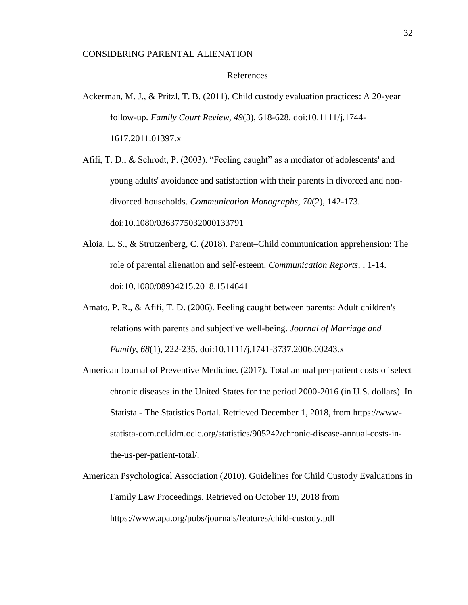#### References

- Ackerman, M. J., & Pritzl, T. B. (2011). Child custody evaluation practices: A 20-year follow-up. *Family Court Review, 49*(3), 618-628. doi:10.1111/j.1744- 1617.2011.01397.x
- Afifi, T. D., & Schrodt, P. (2003). "Feeling caught" as a mediator of adolescents' and young adults' avoidance and satisfaction with their parents in divorced and nondivorced households. *Communication Monographs, 70*(2), 142-173. doi:10.1080/0363775032000133791
- Aloia, L. S., & Strutzenberg, C. (2018). Parent–Child communication apprehension: The role of parental alienation and self-esteem. *Communication Reports,* , 1-14. doi:10.1080/08934215.2018.1514641
- Amato, P. R., & Afifi, T. D. (2006). Feeling caught between parents: Adult children's relations with parents and subjective well-being. *Journal of Marriage and Family, 68*(1), 222-235. doi:10.1111/j.1741-3737.2006.00243.x
- American Journal of Preventive Medicine. (2017). Total annual per-patient costs of select chronic diseases in the United States for the period 2000-2016 (in U.S. dollars). In Statista - The Statistics Portal. Retrieved December 1, 2018, from https://wwwstatista-com.ccl.idm.oclc.org/statistics/905242/chronic-disease-annual-costs-inthe-us-per-patient-total/.
- American Psychological Association (2010). Guidelines for Child Custody Evaluations in Family Law Proceedings. Retrieved on October 19, 2018 from <https://www.apa.org/pubs/journals/features/child-custody.pdf>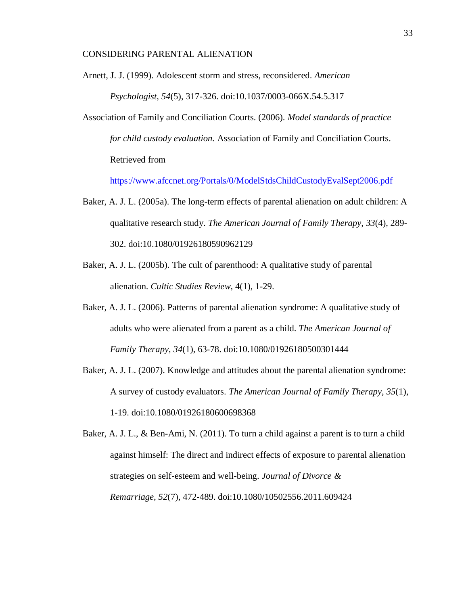Arnett, J. J. (1999). Adolescent storm and stress, reconsidered. *American Psychologist, 54*(5), 317-326. doi:10.1037/0003-066X.54.5.317

Association of Family and Conciliation Courts. (2006). *Model standards of practice for child custody evaluation.* Association of Family and Conciliation Courts. Retrieved from

<https://www.afccnet.org/Portals/0/ModelStdsChildCustodyEvalSept2006.pdf>

- Baker, A. J. L. (2005a). The long-term effects of parental alienation on adult children: A qualitative research study. *The American Journal of Family Therapy, 33*(4), 289- 302. doi:10.1080/01926180590962129
- Baker, A. J. L. (2005b). The cult of parenthood: A qualitative study of parental alienation. *Cultic Studies Review*, 4(1), 1-29.
- Baker, A. J. L. (2006). Patterns of parental alienation syndrome: A qualitative study of adults who were alienated from a parent as a child. *The American Journal of Family Therapy, 34*(1), 63-78. doi:10.1080/01926180500301444
- Baker, A. J. L. (2007). Knowledge and attitudes about the parental alienation syndrome: A survey of custody evaluators. *The American Journal of Family Therapy, 35*(1), 1-19. doi:10.1080/01926180600698368

Baker, A. J. L., & Ben-Ami, N. (2011). To turn a child against a parent is to turn a child against himself: The direct and indirect effects of exposure to parental alienation strategies on self-esteem and well-being. *Journal of Divorce & Remarriage, 52*(7), 472-489. doi:10.1080/10502556.2011.609424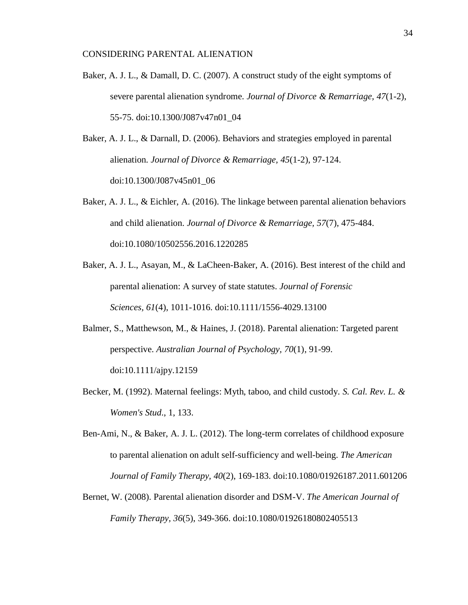- Baker, A. J. L., & Damall, D. C. (2007). A construct study of the eight symptoms of severe parental alienation syndrome. *Journal of Divorce & Remarriage, 47*(1-2), 55-75. doi:10.1300/J087v47n01\_04
- Baker, A. J. L., & Darnall, D. (2006). Behaviors and strategies employed in parental alienation. *Journal of Divorce & Remarriage, 45*(1-2), 97-124. doi:10.1300/J087v45n01\_06
- Baker, A. J. L., & Eichler, A. (2016). The linkage between parental alienation behaviors and child alienation. *Journal of Divorce & Remarriage, 57*(7), 475-484. doi:10.1080/10502556.2016.1220285
- Baker, A. J. L., Asayan, M., & LaCheen-Baker, A. (2016). Best interest of the child and parental alienation: A survey of state statutes. *Journal of Forensic Sciences, 61*(4), 1011-1016. doi:10.1111/1556-4029.13100
- Balmer, S., Matthewson, M., & Haines, J. (2018). Parental alienation: Targeted parent perspective. *Australian Journal of Psychology, 70*(1), 91-99. doi:10.1111/ajpy.12159
- Becker, M. (1992). Maternal feelings: Myth, taboo, and child custody. *S. Cal. Rev. L. & Women's Stud*., 1, 133.
- Ben-Ami, N., & Baker, A. J. L. (2012). The long-term correlates of childhood exposure to parental alienation on adult self-sufficiency and well-being. *The American Journal of Family Therapy, 40*(2), 169-183. doi:10.1080/01926187.2011.601206
- Bernet, W. (2008). Parental alienation disorder and DSM-V. *The American Journal of Family Therapy, 36*(5), 349-366. doi:10.1080/01926180802405513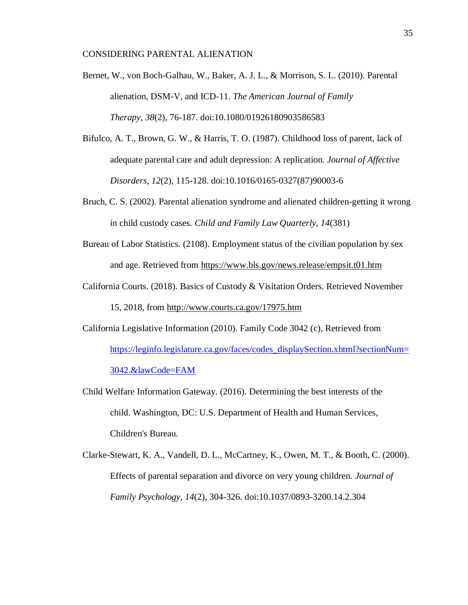- Bernet, W., von Boch-Galhau, W., Baker, A. J. L., & Morrison, S. L. (2010). Parental alienation, DSM-V, and ICD-11. *The American Journal of Family Therapy, 38*(2), 76-187. doi:10.1080/01926180903586583
- Bifulco, A. T., Brown, G. W., & Harris, T. O. (1987). Childhood loss of parent, lack of adequate parental care and adult depression: A replication. *Journal of Affective Disorders, 12*(2), 115-128. doi:10.1016/0165-0327(87)90003-6
- Bruch, C. S. (2002). Parental alienation syndrome and alienated children-getting it wrong in child custody cases. *Child and Family Law Quarterly, 14*(381)
- Bureau of Labor Statistics. (2108). Employment status of the civilian population by sex and age. Retrieved from<https://www.bls.gov/news.release/empsit.t01.htm>
- California Courts. (2018). Basics of Custody & Visitation Orders. Retrieved November 15, 2018, from<http://www.courts.ca.gov/17975.htm>
- California Legislative Information (2010). Family Code 3042 (c), Retrieved from [https://leginfo.legislature.ca.gov/faces/codes\\_displaySection.xhtml?sectionNum=](https://leginfo.legislature.ca.gov/faces/codes_displaySection.xhtml?sectionNum=3042.&lawCode=FAM/) [3042.&lawCode=FAM](https://leginfo.legislature.ca.gov/faces/codes_displaySection.xhtml?sectionNum=3042.&lawCode=FAM/)
- Child Welfare Information Gateway. (2016). Determining the best interests of the child. Washington, DC: U.S. Department of Health and Human Services, Children's Bureau.
- Clarke-Stewart, K. A., Vandell, D. L., McCartney, K., Owen, M. T., & Booth, C. (2000). Effects of parental separation and divorce on very young children. *Journal of Family Psychology, 14*(2), 304-326. doi:10.1037/0893-3200.14.2.304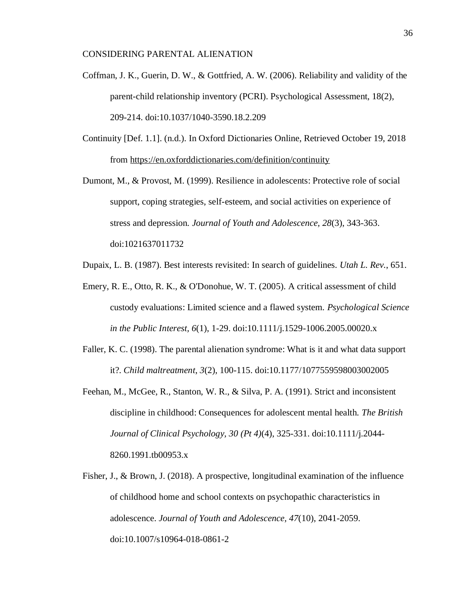- Coffman, J. K., Guerin, D. W., & Gottfried, A. W. (2006). Reliability and validity of the parent-child relationship inventory (PCRI). Psychological Assessment, 18(2), 209-214. doi:10.1037/1040-3590.18.2.209
- Continuity [Def. 1.1]. (n.d.). In Oxford Dictionaries Online, Retrieved October 19, 2018 from<https://en.oxforddictionaries.com/definition/continuity>
- Dumont, M., & Provost, M. (1999). Resilience in adolescents: Protective role of social support, coping strategies, self-esteem, and social activities on experience of stress and depression. *Journal of Youth and Adolescence, 28*(3), 343-363. doi:1021637011732
- Dupaix, L. B. (1987). Best interests revisited: In search of guidelines. *Utah L. Rev.*, 651.
- Emery, R. E., Otto, R. K., & O'Donohue, W. T. (2005). A critical assessment of child custody evaluations: Limited science and a flawed system. *Psychological Science in the Public Interest, 6*(1), 1-29. doi:10.1111/j.1529-1006.2005.00020.x
- Faller, K. C. (1998). The parental alienation syndrome: What is it and what data support it?. *Child maltreatment*, *3*(2), 100-115. doi:10.1177/1077559598003002005
- Feehan, M., McGee, R., Stanton, W. R., & Silva, P. A. (1991). Strict and inconsistent discipline in childhood: Consequences for adolescent mental health. *The British Journal of Clinical Psychology, 30 (Pt 4)*(4), 325-331. doi:10.1111/j.2044- 8260.1991.tb00953.x
- Fisher, J., & Brown, J. (2018). A prospective, longitudinal examination of the influence of childhood home and school contexts on psychopathic characteristics in adolescence. *Journal of Youth and Adolescence, 47*(10), 2041-2059. doi:10.1007/s10964-018-0861-2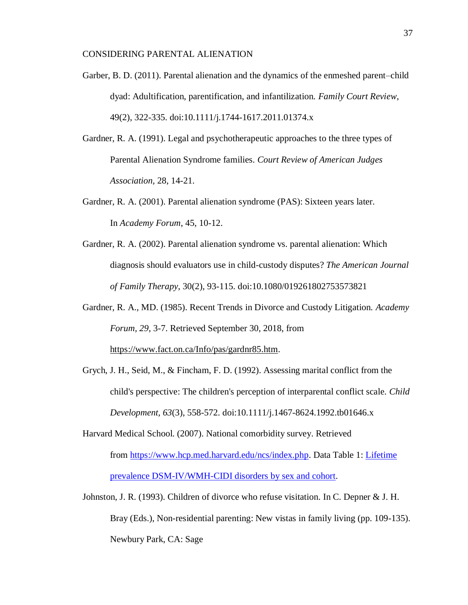- Garber, B. D. (2011). Parental alienation and the dynamics of the enmeshed parent–child dyad: Adultification, parentification, and infantilization. *Family Court Review*, 49(2), 322-335. doi:10.1111/j.1744-1617.2011.01374.x
- Gardner, R. A. (1991). Legal and psychotherapeutic approaches to the three types of Parental Alienation Syndrome families. *Court Review of American Judges Association,* 28, 14-21.
- Gardner, R. A. (2001). Parental alienation syndrome (PAS): Sixteen years later. In *Academy Forum*, 45, 10-12.
- Gardner, R. A. (2002). Parental alienation syndrome vs. parental alienation: Which diagnosis should evaluators use in child-custody disputes? *The American Journal of Family Therapy*, 30(2), 93-115. doi:10.1080/019261802753573821
- Gardner, R. A., MD. (1985). Recent Trends in Divorce and Custody Litigation. *Academy Forum, 29*, 3-7. Retrieved September 30, 2018, from [https://www.fact.on.ca/Info/pas/gardnr85.htm.](https://www.fact.on.ca/Info/pas/gardnr85.htm)
- Grych, J. H., Seid, M., & Fincham, F. D. (1992). Assessing marital conflict from the child's perspective: The children's perception of interparental conflict scale. *Child Development, 63*(3), 558-572. doi:10.1111/j.1467-8624.1992.tb01646.x
- Harvard Medical School. (2007). National comorbidity survey. Retrieved from [https://www.hcp.med.harvard.edu/ncs/index.php.](https://www.hcp.med.harvard.edu/ncs/index.php) Data Table 1: [Lifetime](https://www.hcp.med.harvard.edu/ncs/ftpdir/table_ncsr_LTprevgenderxage.pdf)  [prevalence DSM-IV/WMH-CIDI disorders by sex and cohort.](https://www.hcp.med.harvard.edu/ncs/ftpdir/table_ncsr_LTprevgenderxage.pdf)
- Johnston, J. R. (1993). Children of divorce who refuse visitation. In C. Depner & J. H. Bray (Eds.), Non-residential parenting: New vistas in family living (pp. 109-135). Newbury Park, CA: Sage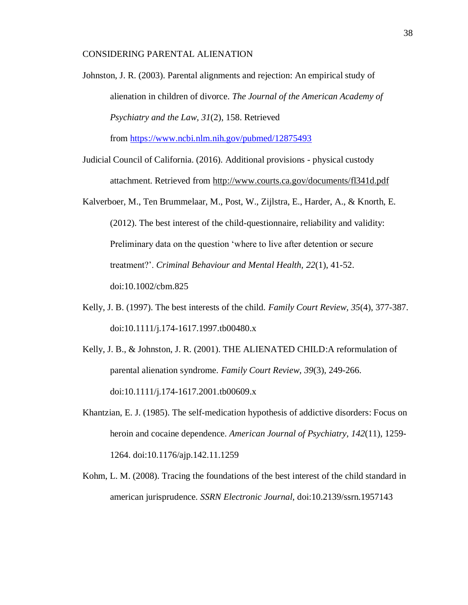Johnston, J. R. (2003). Parental alignments and rejection: An empirical study of alienation in children of divorce. *The Journal of the American Academy of Psychiatry and the Law, 31*(2), 158. Retrieved

from <https://www.ncbi.nlm.nih.gov/pubmed/12875493>

- Judicial Council of California. (2016). Additional provisions physical custody attachment. Retrieved from<http://www.courts.ca.gov/documents/fl341d.pdf>
- Kalverboer, M., Ten Brummelaar, M., Post, W., Zijlstra, E., Harder, A., & Knorth, E. (2012). The best interest of the child-questionnaire, reliability and validity: Preliminary data on the question 'where to live after detention or secure treatment?'. *Criminal Behaviour and Mental Health, 22*(1), 41-52. doi:10.1002/cbm.825
- Kelly, J. B. (1997). The best interests of the child. *Family Court Review, 35*(4), 377-387. doi:10.1111/j.174-1617.1997.tb00480.x
- Kelly, J. B., & Johnston, J. R. (2001). THE ALIENATED CHILD:A reformulation of parental alienation syndrome. *Family Court Review, 39*(3), 249-266. doi:10.1111/j.174-1617.2001.tb00609.x
- Khantzian, E. J. (1985). The self-medication hypothesis of addictive disorders: Focus on heroin and cocaine dependence. *American Journal of Psychiatry, 142*(11), 1259- 1264. doi:10.1176/ajp.142.11.1259
- Kohm, L. M. (2008). Tracing the foundations of the best interest of the child standard in american jurisprudence. *SSRN Electronic Journal,* doi:10.2139/ssrn.1957143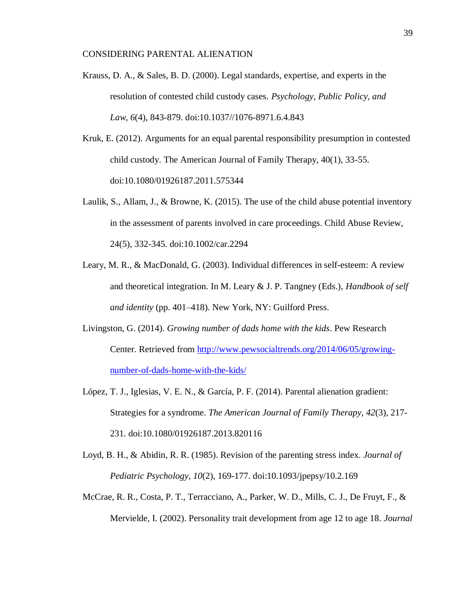- Krauss, D. A., & Sales, B. D. (2000). Legal standards, expertise, and experts in the resolution of contested child custody cases. *Psychology, Public Policy, and Law, 6*(4), 843-879. doi:10.1037//1076-8971.6.4.843
- Kruk, E. (2012). Arguments for an equal parental responsibility presumption in contested child custody. The American Journal of Family Therapy, 40(1), 33-55. doi:10.1080/01926187.2011.575344
- Laulik, S., Allam, J., & Browne, K. (2015). The use of the child abuse potential inventory in the assessment of parents involved in care proceedings. Child Abuse Review, 24(5), 332-345. doi:10.1002/car.2294
- Leary, M. R., & MacDonald, G. (2003). Individual differences in self-esteem: A review and theoretical integration. In M. Leary & J. P. Tangney (Eds.), *Handbook of self and identity* (pp. 401–418). New York, NY: Guilford Press.
- Livingston, G. (2014). *Growing number of dads home with the kids*. Pew Research Center. Retrieved from [http://www.pewsocialtrends.org/2014/06/05/growing](http://www.pewsocialtrends.org/2014/06/05/growing-number-of-dads-home-with-the-kids/)[number-of-dads-home-with-the-kids/](http://www.pewsocialtrends.org/2014/06/05/growing-number-of-dads-home-with-the-kids/)
- López, T. J., Iglesias, V. E. N., & García, P. F. (2014). Parental alienation gradient: Strategies for a syndrome. *The American Journal of Family Therapy, 42*(3), 217- 231. doi:10.1080/01926187.2013.820116
- Loyd, B. H., & Abidin, R. R. (1985). Revision of the parenting stress index. *Journal of Pediatric Psychology, 10*(2), 169-177. doi:10.1093/jpepsy/10.2.169
- McCrae, R. R., Costa, P. T., Terracciano, A., Parker, W. D., Mills, C. J., De Fruyt, F., & Mervielde, I. (2002). Personality trait development from age 12 to age 18. *Journal*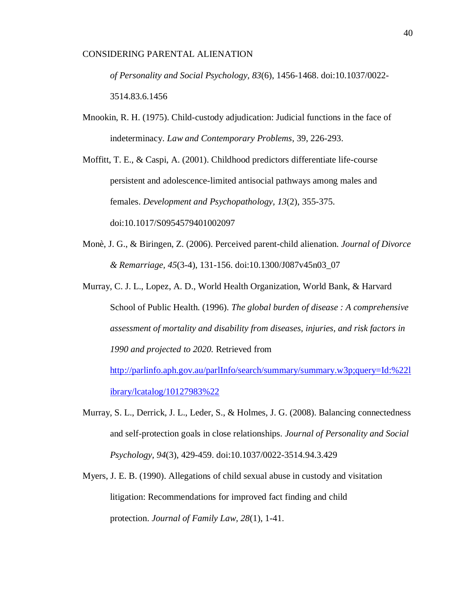*of Personality and Social Psychology, 83*(6), 1456-1468. doi:10.1037/0022- 3514.83.6.1456

Mnookin, R. H. (1975). Child-custody adjudication: Judicial functions in the face of indeterminacy. *Law and Contemporary Problems*, 39, 226-293.

Moffitt, T. E., & Caspi, A. (2001). Childhood predictors differentiate life-course persistent and adolescence-limited antisocial pathways among males and females. *Development and Psychopathology, 13*(2), 355-375. doi:10.1017/S0954579401002097

- Monè, J. G., & Biringen, Z. (2006). Perceived parent-child alienation. *Journal of Divorce & Remarriage, 45*(3-4), 131-156. doi:10.1300/J087v45n03\_07
- Murray, C. J. L., Lopez, A. D., World Health Organization, World Bank, & Harvard School of Public Health. (1996). *The global burden of disease : A comprehensive assessment of mortality and disability from diseases, injuries, and risk factors in 1990 and projected to 2020.* Retrieved from [http://parlinfo.aph.gov.au/parlInfo/search/summary/summary.w3p;query=Id:%22l](http://parlinfo.aph.gov.au/parlInfo/search/summary/summary.w3p;query=Id:%22library/lcatalog/10127983%22)

[ibrary/lcatalog/10127983%22](http://parlinfo.aph.gov.au/parlInfo/search/summary/summary.w3p;query=Id:%22library/lcatalog/10127983%22)

- Murray, S. L., Derrick, J. L., Leder, S., & Holmes, J. G. (2008). Balancing connectedness and self-protection goals in close relationships. *Journal of Personality and Social Psychology, 94*(3), 429-459. doi:10.1037/0022-3514.94.3.429
- Myers, J. E. B. (1990). Allegations of child sexual abuse in custody and visitation litigation: Recommendations for improved fact finding and child protection. *Journal of Family Law, 28*(1), 1-41.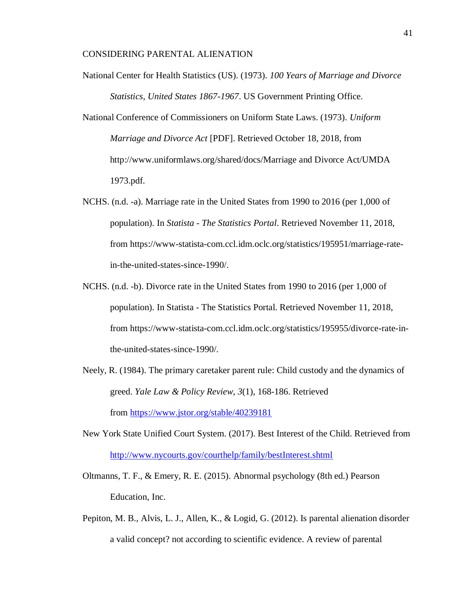- National Center for Health Statistics (US). (1973). *100 Years of Marriage and Divorce Statistics, United States 1867-1967*. US Government Printing Office.
- National Conference of Commissioners on Uniform State Laws. (1973). *Uniform Marriage and Divorce Act* [PDF]. Retrieved October 18, 2018, from http://www.uniformlaws.org/shared/docs/Marriage and Divorce Act/UMDA 1973.pdf.
- NCHS. (n.d. -a). Marriage rate in the United States from 1990 to 2016 (per 1,000 of population). In *Statista - The Statistics Portal*. Retrieved November 11, 2018, from https://www-statista-com.ccl.idm.oclc.org/statistics/195951/marriage-ratein-the-united-states-since-1990/.
- NCHS. (n.d. -b). Divorce rate in the United States from 1990 to 2016 (per 1,000 of population). In Statista - The Statistics Portal. Retrieved November 11, 2018, from https://www-statista-com.ccl.idm.oclc.org/statistics/195955/divorce-rate-inthe-united-states-since-1990/.
- Neely, R. (1984). The primary caretaker parent rule: Child custody and the dynamics of greed. *Yale Law & Policy Review, 3*(1), 168-186. Retrieved from <https://www.jstor.org/stable/40239181>
- New York State Unified Court System. (2017). Best Interest of the Child. Retrieved from <http://www.nycourts.gov/courthelp/family/bestInterest.shtml>
- Oltmanns, T. F., & Emery, R. E. (2015). Abnormal psychology (8th ed.) Pearson Education, Inc.
- Pepiton, M. B., Alvis, L. J., Allen, K., & Logid, G. (2012). Is parental alienation disorder a valid concept? not according to scientific evidence. A review of parental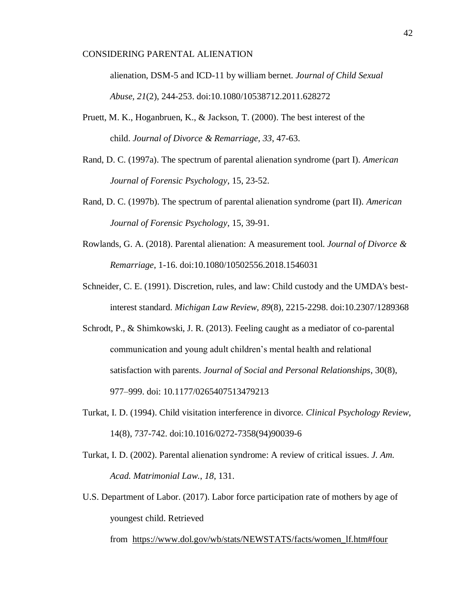alienation, DSM-5 and ICD-11 by william bernet. *Journal of Child Sexual Abuse, 21*(2), 244-253. doi:10.1080/10538712.2011.628272

- Pruett, M. K., Hoganbruen, K., & Jackson, T. (2000). The best interest of the child. *Journal of Divorce & Remarriage, 33*, 47-63.
- Rand, D. C. (1997a). The spectrum of parental alienation syndrome (part I). *American Journal of Forensic Psychology*, 15, 23-52.
- Rand, D. C. (1997b). The spectrum of parental alienation syndrome (part II). *American Journal of Forensic Psychology*, 15, 39-91.
- Rowlands, G. A. (2018). Parental alienation: A measurement tool. *Journal of Divorce & Remarriage*, 1-16. doi:10.1080/10502556.2018.1546031
- Schneider, C. E. (1991). Discretion, rules, and law: Child custody and the UMDA's bestinterest standard. *Michigan Law Review, 89*(8), 2215-2298. doi:10.2307/1289368
- Schrodt, P., & Shimkowski, J. R. (2013). Feeling caught as a mediator of co-parental communication and young adult children's mental health and relational satisfaction with parents. *Journal of Social and Personal Relationships*, 30(8), 977–999. doi: 10.1177/0265407513479213
- Turkat, I. D. (1994). Child visitation interference in divorce. *Clinical Psychology Review*, 14(8), 737-742. doi:10.1016/0272-7358(94)90039-6
- Turkat, I. D. (2002). Parental alienation syndrome: A review of critical issues. *J. Am. Acad. Matrimonial Law.*, *18*, 131.
- U.S. Department of Labor. (2017). Labor force participation rate of mothers by age of youngest child. Retrieved

from [https://www.dol.gov/wb/stats/NEWSTATS/facts/women\\_lf.htm#four](https://www.dol.gov/wb/stats/NEWSTATS/facts/women_lf.htm#four)